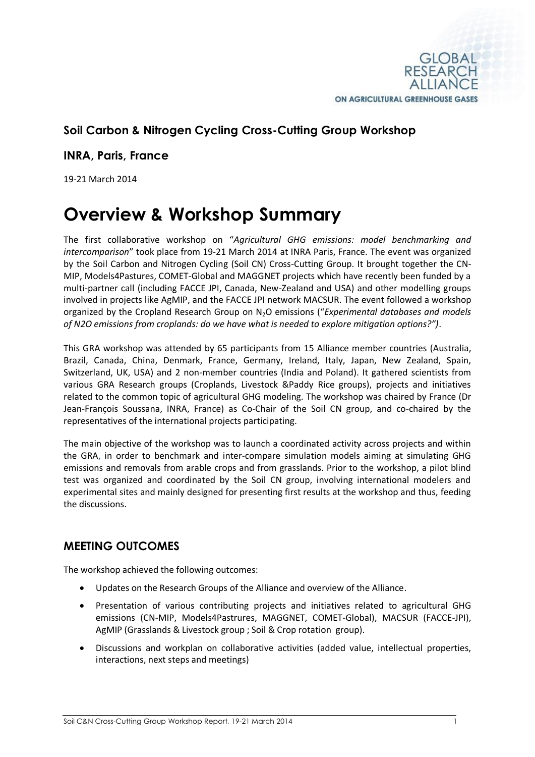

## **Soil Carbon & Nitrogen Cycling Cross-Cutting Group Workshop**

**INRA, Paris, France**

19-21 March 2014

## **Overview & Workshop Summary**

The first collaborative workshop on "*Agricultural GHG emissions: model benchmarking and intercomparison*" took place from 19-21 March 2014 at INRA Paris, France. The event was organized by the Soil Carbon and Nitrogen Cycling (Soil CN) Cross-Cutting Group. It brought together the CN-MIP, Models4Pastures, COMET-Global and MAGGNET projects which have recently been funded by a multi-partner call (including FACCE JPI, Canada, New-Zealand and USA) and other modelling groups involved in projects like AgMIP, and the FACCE JPI network MACSUR. The event followed a workshop organized by the Cropland Research Group on N2O emissions ("*Experimental databases and models of N2O emissions from croplands: do we have what is needed to explore mitigation options?")*.

This GRA workshop was attended by 65 participants from 15 Alliance member countries (Australia, Brazil, Canada, China, Denmark, France, Germany, Ireland, Italy, Japan, New Zealand, Spain, Switzerland, UK, USA) and 2 non-member countries (India and Poland). It gathered scientists from various GRA Research groups (Croplands, Livestock &Paddy Rice groups), projects and initiatives related to the common topic of agricultural GHG modeling. The workshop was chaired by France (Dr Jean-François Soussana, INRA, France) as Co-Chair of the Soil CN group, and co-chaired by the representatives of the international projects participating.

The main objective of the workshop was to launch a coordinated activity across projects and within the GRA, in order to benchmark and inter-compare simulation models aiming at simulating GHG emissions and removals from arable crops and from grasslands. Prior to the workshop, a pilot blind test was organized and coordinated by the Soil CN group, involving international modelers and experimental sites and mainly designed for presenting first results at the workshop and thus, feeding the discussions.

## **MEETING OUTCOMES**

The workshop achieved the following outcomes:

- Updates on the Research Groups of the Alliance and overview of the Alliance.
- Presentation of various contributing projects and initiatives related to agricultural GHG emissions (CN-MIP, Models4Pastrures, MAGGNET, COMET-Global), MACSUR (FACCE-JPI), AgMIP (Grasslands & Livestock group ; Soil & Crop rotation group).
- Discussions and workplan on collaborative activities (added value, intellectual properties, interactions, next steps and meetings)